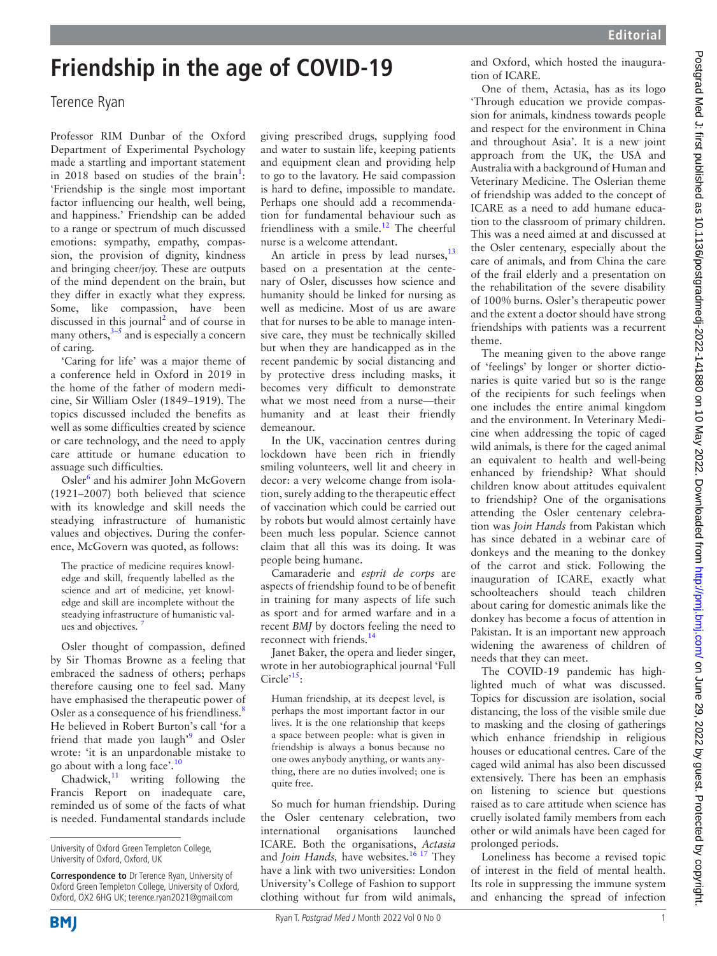## **Friendship in the age of COVID-19**

## Terence Ryan

Professor RIM Dunbar of the Oxford Department of Experimental Psychology made a startling and important statement in 20[1](#page-1-0)8 based on studies of the brain<sup>1</sup>: 'Friendship is the single most important factor influencing our health, well being, and happiness.' Friendship can be added to a range or spectrum of much discussed emotions: sympathy, empathy, compassion, the provision of dignity, kindness and bringing cheer/joy. These are outputs of the mind dependent on the brain, but they differ in exactly what they express. Some, like compassion, have been discussed in this journal<sup>[2](#page-1-1)</sup> and of course in many others, $3-5$  and is especially a concern of caring.

'Caring for life' was a major theme of a conference held in Oxford in 2019 in the home of the father of modern medicine, Sir William Osler (1849–1919). The topics discussed included the benefits as well as some difficulties created by science or care technology, and the need to apply care attitude or humane education to assuage such difficulties.

Osler<sup>[6](#page-1-3)</sup> and his admirer John McGovern (1921–2007) both believed that science with its knowledge and skill needs the steadying infrastructure of humanistic values and objectives. During the conference, McGovern was quoted, as follows:

The practice of medicine requires knowledge and skill, frequently labelled as the science and art of medicine, yet knowledge and skill are incomplete without the steadying infrastructure of humanistic values and objectives. [7](#page-1-4)

Osler thought of compassion, defined by Sir Thomas Browne as a feeling that embraced the sadness of others; perhaps therefore causing one to feel sad. Many have emphasised the therapeutic power of Osler as a consequence of his friendliness.<sup>[8](#page-1-5)</sup> He believed in Robert Burton's call 'for a friend that made you laugh<sup>,[9](#page-1-6)</sup> and Osler wrote: 'it is an unpardonable mistake to go about with a long face'.[10](#page-1-7)

Chadwick, $11$  writing following the Francis Report on inadequate care, reminded us of some of the facts of what is needed. Fundamental standards include

**Correspondence to** Dr Terence Ryan, University of Oxford Green Templeton College, University of Oxford, Oxford, OX2 6HG UK; terence.ryan2021@gmail.com

giving prescribed drugs, supplying food and water to sustain life, keeping patients and equipment clean and providing help to go to the lavatory. He said compassion is hard to define, impossible to mandate. Perhaps one should add a recommendation for fundamental behaviour such as friendliness with a smile.<sup>12</sup> The cheerful nurse is a welcome attendant.

An article in press by lead nurses,<sup>13</sup> based on a presentation at the centenary of Osler, discusses how science and humanity should be linked for nursing as well as medicine. Most of us are aware that for nurses to be able to manage intensive care, they must be technically skilled but when they are handicapped as in the recent pandemic by social distancing and by protective dress including masks, it becomes very difficult to demonstrate what we most need from a nurse—their humanity and at least their friendly demeanour.

In the UK, vaccination centres during lockdown have been rich in friendly smiling volunteers, well lit and cheery in decor: a very welcome change from isolation, surely adding to the therapeutic effect of vaccination which could be carried out by robots but would almost certainly have been much less popular. Science cannot claim that all this was its doing. It was people being humane.

Camaraderie and *esprit de corps* are aspects of friendship found to be of benefit in training for many aspects of life such as sport and for armed warfare and in a recent *BMJ* by doctors feeling the need to reconnect with friends.<sup>[14](#page-1-11)</sup>

Janet Baker, the opera and lieder singer, wrote in her autobiographical journal 'Full Circle $15$ :

Human friendship, at its deepest level, is perhaps the most important factor in our lives. It is the one relationship that keeps a space between people: what is given in friendship is always a bonus because no one owes anybody anything, or wants anything, there are no duties involved; one is quite free.

So much for human friendship. During the Osler centenary celebration, two international organisations launched ICARE. Both the organisations, *Actasia* and *Join Hands*, have websites.<sup>16 17</sup> They have a link with two universities: London University's College of Fashion to support clothing without fur from wild animals,

and Oxford, which hosted the inauguration of ICARE.

One of them, Actasia, has as its logo 'Through education we provide compassion for animals, kindness towards people and respect for the environment in China and throughout Asia'. It is a new joint approach from the UK, the USA and Australia with a background of Human and Veterinary Medicine. The Oslerian theme of friendship was added to the concept of ICARE as a need to add humane education to the classroom of primary children. This was a need aimed at and discussed at the Osler centenary, especially about the care of animals, and from China the care of the frail elderly and a presentation on the rehabilitation of the severe disability of 100% burns. Osler's therapeutic power and the extent a doctor should have strong friendships with patients was a recurrent theme.

The meaning given to the above range of 'feelings' by longer or shorter dictionaries is quite varied but so is the range of the recipients for such feelings when one includes the entire animal kingdom and the environment. In Veterinary Medicine when addressing the topic of caged wild animals, is there for the caged animal an equivalent to health and well-being enhanced by friendship? What should children know about attitudes equivalent to friendship? One of the organisations attending the Osler centenary celebration was *Join Hands* from Pakistan which has since debated in a webinar care of donkeys and the meaning to the donkey of the carrot and stick. Following the inauguration of ICARE, exactly what schoolteachers should teach children about caring for domestic animals like the donkey has become a focus of attention in Pakistan. It is an important new approach widening the awareness of children of needs that they can meet.

The COVID-19 pandemic has highlighted much of what was discussed. Topics for discussion are isolation, social distancing, the loss of the visible smile due to masking and the closing of gatherings which enhance friendship in religious houses or educational centres. Care of the caged wild animal has also been discussed extensively. There has been an emphasis on listening to science but questions raised as to care attitude when science has cruelly isolated family members from each other or wild animals have been caged for prolonged periods.

Loneliness has become a revised topic of interest in the field of mental health. Its role in suppressing the immune system and enhancing the spread of infection

University of Oxford Green Templeton College, University of Oxford, Oxford, UK